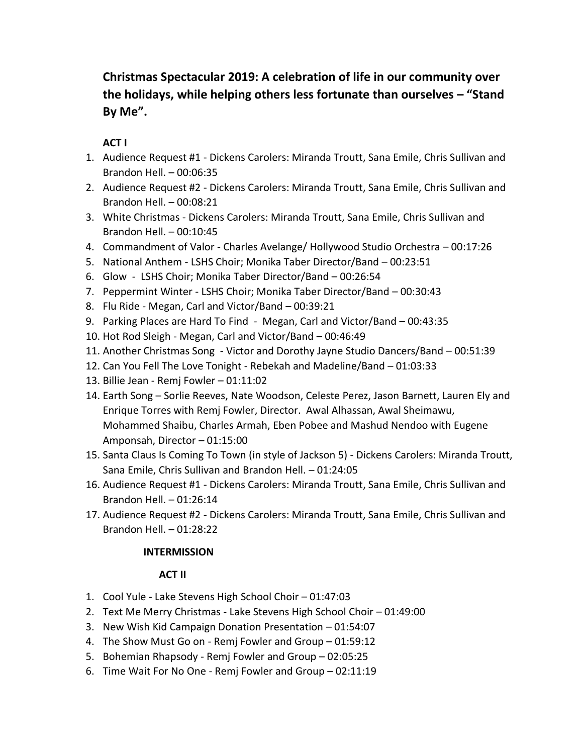## **Christmas Spectacular 2019: A celebration of life in our community over the holidays, while helping others less fortunate than ourselves – "Stand By Me".**

## **ACT I**

- 1. Audience Request #1 Dickens Carolers: Miranda Troutt, Sana Emile, Chris Sullivan and Brandon Hell. – 00:06:35
- 2. Audience Request #2 Dickens Carolers: Miranda Troutt, Sana Emile, Chris Sullivan and Brandon Hell. – 00:08:21
- 3. White Christmas Dickens Carolers: Miranda Troutt, Sana Emile, Chris Sullivan and Brandon Hell. – 00:10:45
- 4. Commandment of Valor Charles Avelange/ Hollywood Studio Orchestra 00:17:26
- 5. National Anthem LSHS Choir; Monika Taber Director/Band 00:23:51
- 6. Glow LSHS Choir; Monika Taber Director/Band 00:26:54
- 7. Peppermint Winter LSHS Choir; Monika Taber Director/Band 00:30:43
- 8. Flu Ride Megan, Carl and Victor/Band 00:39:21
- 9. Parking Places are Hard To Find Megan, Carl and Victor/Band 00:43:35
- 10. Hot Rod Sleigh Megan, Carl and Victor/Band 00:46:49
- 11. Another Christmas Song Victor and Dorothy Jayne Studio Dancers/Band 00:51:39
- 12. Can You Fell The Love Tonight Rebekah and Madeline/Band 01:03:33
- 13. Billie Jean Remj Fowler 01:11:02
- 14. Earth Song Sorlie Reeves, Nate Woodson, Celeste Perez, Jason Barnett, Lauren Ely and Enrique Torres with Remj Fowler, Director. Awal Alhassan, Awal Sheimawu, Mohammed Shaibu, Charles Armah, Eben Pobee and Mashud Nendoo with Eugene Amponsah, Director – 01:15:00
- 15. Santa Claus Is Coming To Town (in style of Jackson 5) Dickens Carolers: Miranda Troutt, Sana Emile, Chris Sullivan and Brandon Hell. – 01:24:05
- 16. Audience Request #1 Dickens Carolers: Miranda Troutt, Sana Emile, Chris Sullivan and Brandon Hell. – 01:26:14
- 17. Audience Request #2 Dickens Carolers: Miranda Troutt, Sana Emile, Chris Sullivan and Brandon Hell. – 01:28:22

## **INTERMISSION**

## **ACT II**

- 1. Cool Yule Lake Stevens High School Choir 01:47:03
- 2. Text Me Merry Christmas Lake Stevens High School Choir 01:49:00
- 3. New Wish Kid Campaign Donation Presentation 01:54:07
- 4. The Show Must Go on Remj Fowler and Group 01:59:12
- 5. Bohemian Rhapsody Remj Fowler and Group 02:05:25
- 6. Time Wait For No One Remj Fowler and Group 02:11:19